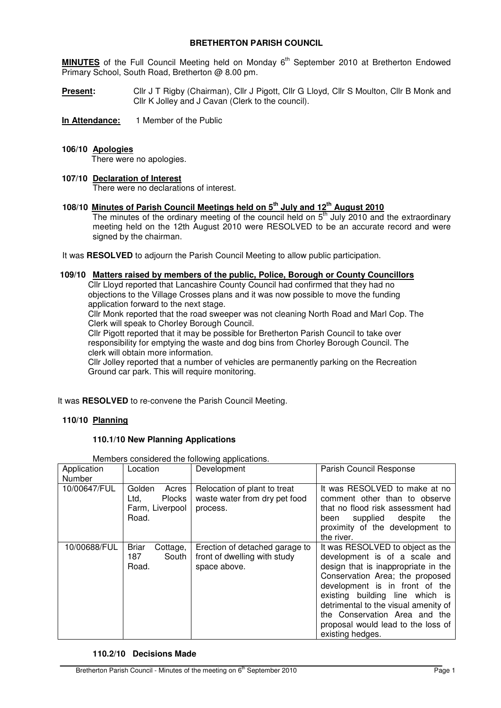# **BRETHERTON PARISH COUNCIL**

MINUTES of the Full Council Meeting held on Monday 6<sup>th</sup> September 2010 at Bretherton Endowed Primary School, South Road, Bretherton @ 8.00 pm.

**Present:** Cllr J T Rigby (Chairman), Cllr J Pigott, Cllr G Lloyd, Cllr S Moulton, Cllr B Monk and Cllr K Jolley and J Cavan (Clerk to the council).

**In Attendance:** 1 Member of the Public

## **106/10 Apologies**

There were no apologies.

#### **107/10 Declaration of Interest**

There were no declarations of interest.

## **108/10 Minutes of Parish Council Meetings held on 5th July and 12th August 2010**

The minutes of the ordinary meeting of the council held on  $5<sup>th</sup>$  July 2010 and the extraordinary meeting held on the 12th August 2010 were RESOLVED to be an accurate record and were signed by the chairman.

It was **RESOLVED** to adjourn the Parish Council Meeting to allow public participation.

#### **109/10 Matters raised by members of the public, Police, Borough or County Councillors**

 Cllr Lloyd reported that Lancashire County Council had confirmed that they had no objections to the Village Crosses plans and it was now possible to move the funding application forward to the next stage.

 Cllr Monk reported that the road sweeper was not cleaning North Road and Marl Cop. The Clerk will speak to Chorley Borough Council.

 Cllr Pigott reported that it may be possible for Bretherton Parish Council to take over responsibility for emptying the waste and dog bins from Chorley Borough Council. The clerk will obtain more information.

 Cllr Jolley reported that a number of vehicles are permanently parking on the Recreation Ground car park. This will require monitoring.

It was **RESOLVED** to re-convene the Parish Council Meeting.

## **110/10 Planning**

## **110.1/10 New Planning Applications**

Members considered the following applications.

| Application<br>Number | Location                                                             | Development                                                                    | Parish Council Response                                                                                                                                                                                                                                                                                                                             |
|-----------------------|----------------------------------------------------------------------|--------------------------------------------------------------------------------|-----------------------------------------------------------------------------------------------------------------------------------------------------------------------------------------------------------------------------------------------------------------------------------------------------------------------------------------------------|
| 10/00647/FUL          | Golden<br>Acres<br><b>Plocks</b><br>Ltd,<br>Farm, Liverpool<br>Road. | Relocation of plant to treat<br>waste water from dry pet food<br>process.      | It was RESOLVED to make at no<br>comment other than to observe<br>that no flood risk assessment had<br>supplied despite<br>the<br>been<br>proximity of the development to<br>the river.                                                                                                                                                             |
| 10/00688/FUL          | <b>Briar</b><br>Cottage,<br>187<br>South<br>Road.                    | Erection of detached garage to<br>front of dwelling with study<br>space above. | It was RESOLVED to object as the<br>development is of a scale and<br>design that is inappropriate in the<br>Conservation Area; the proposed<br>development is in front of the<br>existing building line which is<br>detrimental to the visual amenity of<br>the Conservation Area and the<br>proposal would lead to the loss of<br>existing hedges. |

## **110.2/10 Decisions Made**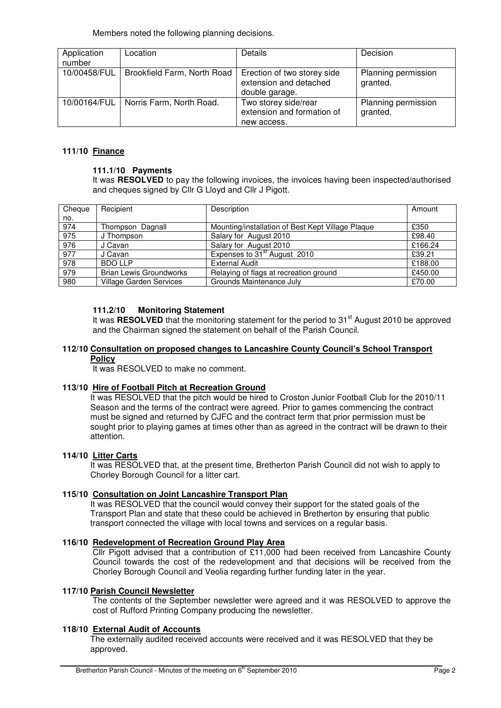Members noted the following planning decisions.

| Application<br>number | Location                    | Details                                                                 | Decision                        |
|-----------------------|-----------------------------|-------------------------------------------------------------------------|---------------------------------|
| 10/00458/FUL          | Brookfield Farm, North Road | Erection of two storey side<br>extension and detached<br>double garage. | Planning permission<br>granted. |
| 10/00164/FUL          | Norris Farm, North Road.    | Two storey side/rear<br>extension and formation of<br>new access.       | Planning permission<br>granted. |

# **111/10 Finance**

# **111.1/10 Payments**

It was **RESOLVED** to pay the following invoices, the invoices having been inspected/authorised and cheques signed by Cllr G Lloyd and Cllr J Pigott.

| Cheque | Recipient                      | Description                                       | Amount  |
|--------|--------------------------------|---------------------------------------------------|---------|
| no.    |                                |                                                   |         |
| 974    | Thompson Dagnall               | Mounting/installation of Best Kept Village Plaque | £350    |
| 975    | J Thompson                     | Salary for August 2010                            | £98.40  |
| 976    | J Cavan                        | Salary for August 2010                            | £166.24 |
| 977    | J Cavan                        | Expenses to 31 <sup>st</sup> August 2010          | £39.21  |
| 978    | <b>BDO LLP</b>                 | <b>External Audit</b>                             | £188.00 |
| 979    | <b>Brian Lewis Groundworks</b> | Relaying of flags at recreation ground            | £450.00 |
| 980    | <b>Village Garden Services</b> | Grounds Maintenance July                          | £70.00  |

## **111.2/10 Monitoring Statement**

It was **RESOLVED** that the monitoring statement for the period to 31<sup>st</sup> August 2010 be approved and the Chairman signed the statement on behalf of the Parish Council.

#### **112/10 Consultation on proposed changes to Lancashire County Council's School Transport Policy**

It was RESOLVED to make no comment.

## **113/10 Hire of Football Pitch at Recreation Ground**

It was RESOLVED that the pitch would be hired to Croston Junior Football Club for the 2010/11 Season and the terms of the contract were agreed. Prior to games commencing the contract must be signed and returned by CJFC and the contract term that prior permission must be sought prior to playing games at times other than as agreed in the contract will be drawn to their attention.

## **114/10 Litter Carts**

It was RESOLVED that, at the present time, Bretherton Parish Council did not wish to apply to Chorley Borough Council for a litter cart.

# **115/10 Consultation on Joint Lancashire Transport Plan**

It was RESOLVED that the council would convey their support for the stated goals of the Transport Plan and state that these could be achieved in Bretherton by ensuring that public transport connected the village with local towns and services on a regular basis.

## **116/10 Redevelopment of Recreation Ground Play Area**

Cllr Pigott advised that a contribution of £11,000 had been received from Lancashire County Council towards the cost of the redevelopment and that decisions will be received from the Chorley Borough Council and Veolia regarding further funding later in the year.

## **117/10 Parish Council Newsletter**

The contents of the September newsletter were agreed and it was RESOLVED to approve the cost of Rufford Printing Company producing the newsletter.

## **118/10 External Audit of Accounts**

 The externally audited received accounts were received and it was RESOLVED that they be approved.